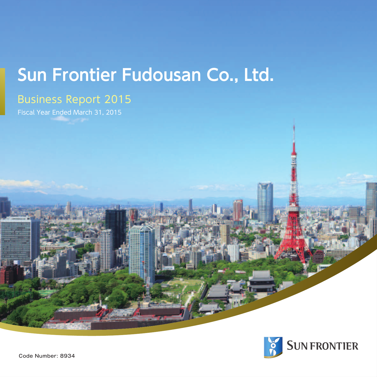# **Sun Frontier Fudousan Co., Ltd.**

# Business Report 2015

Fiscal Year Ended March 31, 2015

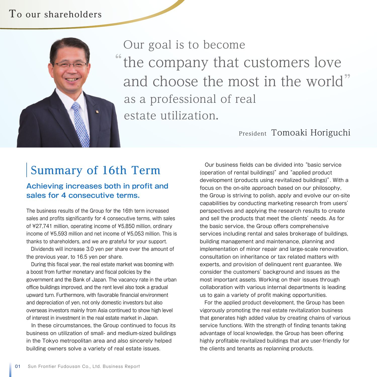# **To our shareholders**



" the company that customers love and choose the most in the world" Our goal is to become as a professional of real estate utilization.

### President Tomoaki Horiguchi

# **Summary of 16th Term**

#### **Achieving increases both in profit and sales for 4 consecutive terms.**

The business results of the Group for the 16th term increased sales and profits significantly for 4 consecutive terms, with sales of ¥27,741 million, operating income of ¥5,850 million, ordinary income of ¥5,593 million and net income of ¥5,053 million. This is thanks to shareholders, and we are grateful for your support.

 Dividends will increase 3.0 yen per share over the amount of the previous year, to 16.5 yen per share.

During this fiscal year, the real estate market was booming with a boost from further monetary and fiscal policies by the government and the Bank of Japan. The vacancy rate in the urban office buildings improved, and the rent level also took a gradual upward turn. Furthermore, with favorable financial environment and depreciation of yen, not only domestic investors but also overseas investors mainly from Asia continued to show high level of interest in investment in the real estate market in Japan.

 In these circumstances, the Group continued to focus its business on utilization of small- and medium-sized buildings in the Tokyo metropolitan area and also sincerely helped building owners solve a variety of real estate issues.

 Our business fields can be divided into "basic service (operation of rental buildings)" and "applied product development (products using revitalized buildings)". With a focus on the on-site approach based on our philosophy, the Group is striving to polish, apply and evolve our on-site capabilities by conducting marketing research from users' perspectives and applying the research results to create and sell the products that meet the clients' needs. As for the basic service, the Group offers comprehensive services including rental and sales brokerage of buildings, building management and maintenance, planning and implementation of minor repair and large-scale renovation, consultation on inheritance or tax related matters with experts, and provision of delinquent rent guarantee. We consider the customers' background and issues as the most important assets. Working on their issues through collaboration with various internal departments is leading us to gain a variety of profit making opportunities.

 For the applied product development, the Group has been vigorously promoting the real estate revitalization business that generates high added value by creating chains of various service functions. With the strength of finding tenants taking advantage of local knowledge, the Group has been offering highly profitable revitalized buildings that are user-friendly for the clients and tenants as replanning products.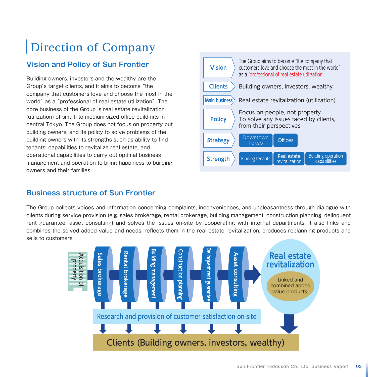# **Direction of Company**

### **Vision and Policy of Sun Frontier**

Building owners, investors and the wealthy are the Group's target clients, and it aims to become "the company that customers love and choose the most in the world" as a "professional of real estate utilization". The core business of the Group is real estate revitalization (utilization) of small- to medium-sized office buildings in central Tokyo. The Group does not focus on property but building owners, and its policy to solve problems of the building owners with its strengths such as ability to find tenants, capabilities to revitalize real estate, and operational capabilities to carry out optimal business management and operation to bring happiness to building owners and their families.



#### **Business structure of Sun Frontier**

The Group collects voices and information concerning complaints, inconveniences, and unpleasantness through dialogue with clients during service provision (e.g. sales brokerage, rental brokerage, building management, construction planning, delinquent rent guarantee, asset consulting) and solves the issues on-site by cooperating with internal departments. It also links and combines the solved added value and needs, reflects them in the real estate revitalization, produces replanning products and sells to customers.

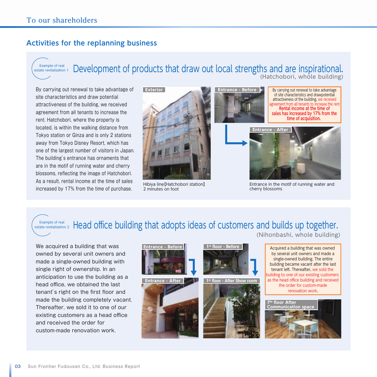#### **Activities for the replanning business**

Example of real estate revitalization 1

#### Development of products that draw out local strengths and are inspirational. (Hatchobori, whole building)

By carrying out renewal to take advantage of site characteristics and draw potential attractiveness of the building, we received agreement from all tenants to increase the rent. Hatchobori, where the property is located, is within the walking distance from Tokyo station or Ginza and is only 2 stations away from Tokyo Disney Resort, which has one of the largest number of visitors in Japan. The building's entrance has ornaments that are in the motif of running water and cherry blossoms, reflecting the image of Hatchobori. As a result, rental income at the time of sales increased by 17% from the time of purchase.



Hibiya line【Hatchobori station】 2 minutes on foot





Entrance in the motif of running water and cherry blossoms

# $\frac{1}{\text{ {{e}}}}$   $\frac{1}{\text{ {{e}}}}$  angle of real,  $_2$  Head office building that adopts ideas of customers and builds up together.

We acquired a building that was owned by several unit owners and made a single-owned building with single right of ownership. In an anticipation to use the building as a head office, we obtained the last tenant's right on the first floor and made the building completely vacant. Thereafter, we sold it to one of our existing customers as a head office and received the order for custom-made renovation work.



(Nihonbashi, whole building)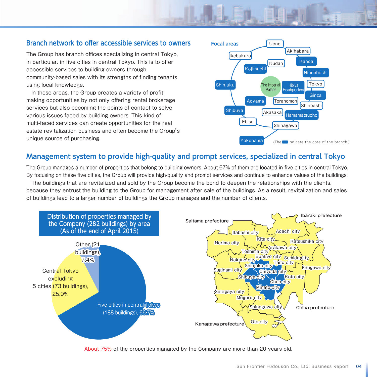#### **Branch network to offer accessible services to owners**

The Group has branch offices specializing in central Tokyo, in particular, in five cities in central Tokyo. This is to offer accessible services to building owners through community-based sales with its strengths of finding tenants using local knowledge.

 In these areas, the Group creates a variety of profit making opportunities by not only offering rental brokerage services but also becoming the points of contact to solve various issues faced by building owners. This kind of multi-faced services can create opportunities for the real estate revitalization business and often become the Group's unique source of purchasing.



#### **Management system to provide high-quality and prompt services, specialized in central Tokyo**

The Group manages a number of properties that belong to building owners. About 67% of them are located in five cities in central Tokyo. By focusing on these five cities, the Group will provide high-quality and prompt services and continue to enhance values of the buildings.

 The buildings that are revitalized and sold by the Group become the bond to deepen the relationships with the clients, because they entrust the building to the Group for management after sale of the buildings. As a result, revitalization and sales of buildings lead to a larger number of buildings the Group manages and the number of clients.



About 75% of the properties managed by the Company are more than 20 years old.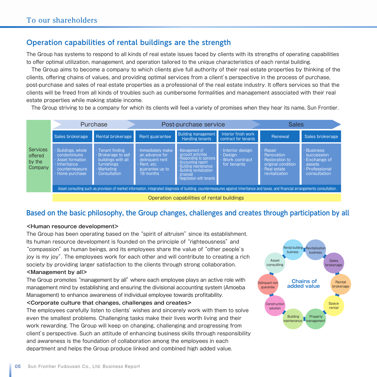#### **Operation capabilities of rental buildings are the strength**

The Group has systems to respond to all kinds of real estate issues faced by clients with its strengths of operating capabilities to offer optimal utilization, management, and operation tailored to the unique characteristics of each rental building.

 The Group aims to become a company to which clients give full authority of their real estate properties by thinking of the clients, offering chains of values, and providing optimal services from a client's perspective in the process of purchase, post-purchase and sales of real estate properties as a professional of the real estate industry. It offers services so that the clients will be freed from all kinds of troubles such as cumbersome formalities and management associated with their real estate properties while making stable income.

The Group striving to be a company for which its clients will feel a variety of promises when they hear its name, Sun Frontier.

|                                                 | Purchase                                                                                                |                                                                                                                    | Post-purchase service                                                                               |                                                                                                                                                                                             |                                                           | <b>Sales</b>                                                                                          |                                                                                               |  |
|-------------------------------------------------|---------------------------------------------------------------------------------------------------------|--------------------------------------------------------------------------------------------------------------------|-----------------------------------------------------------------------------------------------------|---------------------------------------------------------------------------------------------------------------------------------------------------------------------------------------------|-----------------------------------------------------------|-------------------------------------------------------------------------------------------------------|-----------------------------------------------------------------------------------------------|--|
|                                                 | Sales brokerage                                                                                         | Rental brokerage                                                                                                   | Rent guarantee                                                                                      | <b>Building management</b><br>Handling tenants                                                                                                                                              | Interior finish work<br>contract for tenants              | Renewal                                                                                               | Sales brokerage                                                                               |  |
| <b>Services</b><br>offered<br>by the<br>Company | Buildings, whole<br>condominiums<br>· Asset formation<br>Inheritance<br>countermeasure<br>Home purchase | · Tenant finding<br><b>Brokerage to sell</b><br>buildings with all<br>furnishings<br>· Marketing<br>· Consultation | Immediately make<br>an advance for<br>delinquent rent<br>Rent. etc.<br>guarantee up to<br>18 months | Management of<br>account activities<br>Responding to opinions<br>Accounting report<br><b>Building maintenance</b><br><b>Building revitalization</b><br>proposal<br>Negotiation with tenants | Interior design<br>Design<br>Work contract<br>for tenants | Repair<br>Renovation<br><b>Restoration to</b><br>original condition<br>Real estate<br>revitalization. | <b>Business</b><br>succession<br>Exchange of<br>assets<br><b>Professional</b><br>consultation |  |
|                                                 |                                                                                                         |                                                                                                                    |                                                                                                     | Asset consulting such as provision of market information, integrated diagnosis of building, countermeasures against inheritance and taxes, and financial arrangements consultation.         |                                                           |                                                                                                       |                                                                                               |  |
|                                                 |                                                                                                         |                                                                                                                    |                                                                                                     |                                                                                                                                                                                             |                                                           |                                                                                                       |                                                                                               |  |

Operation capabilities of rental buildings

#### **Based on the basic philosophy, the Group changes, challenges and creates through participation by all**

#### **<Human resource development>**

The Group has been operating based on the "spirit of altruism" since its establishment. Its human resource development is founded on the principle of "righteousness" and "compassion" as human beings, and its employees share the value of "other people's joy is my joy". The employees work for each other and will contribute to creating a rich society by providing larger satisfaction to the clients through strong collaboration.

#### **<Management by all>**

The Group promotes "management by all" where each employee plays an active role with management mind by establishing and ensuring the divisional accounting system (Amoeba Management) to enhance awareness of individual employee towards profitability.

#### **<Corporate culture that changes, challenges and creates>**

The employees carefully listen to clients' wishes and sincerely work with them to solve even the smallest problems. Challenging tasks make their lives worth living and their work rewarding. The Group will keep on changing, challenging and progressing from client's perspective. Such an attitude of enhancing business skills through responsibility and awareness is the foundation of collaboration among the employees in each department and helps the Group produce linked and combined high added value.

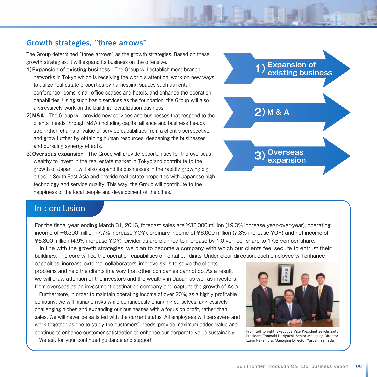#### **Growth strategies, "three arrows"**

The Group determined "three arrows" as the growth strategies. Based on these growth strategies, it will expand its business on the offensive.

- **1)Expansion of existing business** The Group will establish more branch networks in Tokyo which is receiving the world's attention, work on new ways to utilize real estate properties by harnessing spaces such as rental conference rooms, small office spaces and hotels, and enhance the operation capabilities. Using such basic services as the foundation, the Group will also aggressively work on the building revitalization business.
- **2)M&A** The Group will provide new services and businesses that respond to the clients' needs through M&A (including capital alliance and business tie-up), strengthen chains of value of service capabilities from a client's perspective, and grow further by obtaining human resources, deepening the businesses and pursuing synergy effects.
- **3)Overseas expansion** The Group will provide opportunities for the overseas wealthy to invest in the real estate market in Tokyo and contribute to the growth of Japan. It will also expand its businesses in the rapidly growing big cities in South East Asia and provide real estate properties with Japanese high technology and service quality. This way, the Group will contribute to the happiness of the local people and development of the cities.



#### In conclusion

For the fiscal year ending March 31, 2016, forecast sales are ¥33,000 million (19.0% increase year-over-year), operating income of ¥6,300 million (7.7% increase YOY), ordinary income of ¥6,000 million (7.3% increase YOY) and net income of ¥5,300 million (4.9% increase YOY). Dividends are planned to increase by 1.0 yen per share to 17.5 yen per share.

 In line with the growth strategies, we plan to become a company with which our clients feel secure to entrust their buildings. The core will be the operation capabilities of rental buildings. Under clear direction, each employee will enhance

capacities, increase external collaborators, improve skills to solve the clients' problems and help the clients in a way that other companies cannot do. As a result, we will draw attention of the investors and the wealthy in Japan as well as investors from overseas as an investment destination company and capture the growth of Asia.

 Furthermore, in order to maintain operating income of over 20%, as a highly profitable company, we will manage risks while continuously changing ourselves, aggressively challenging niches and expanding our businesses with a focus on profit, rather than sales. We will never be satisfied with the current status. All employees will persevere and work together as one to study the customers' needs, provide maximum added value and continue to enhance customer satisfaction to enhance our corporate value sustainably.

We ask for your continued guidance and support.



From left to right, Executive Vice President Seiichi Saito, President Tomoaki Horiguchi, Senior Managing Director Izumi Nakamura, Managing Director Yasushi Yamada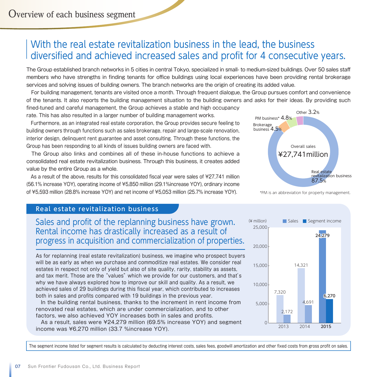# With the real estate revitalization business in the lead, the business diversified and achieved increased sales and profit for 4 consecutive years.

The Group established branch networks in 5 cities in central Tokyo, specialized in small- to medium-sized buildings. Over 50 sales staff members who have strengths in finding tenants for office buildings using local experiences have been providing rental brokerage services and solving issues of building owners. The branch networks are the origin of creating its added value.

 For building management, tenants are visited once a month. Through frequent dialogue, the Group pursues comfort and convenience of the tenants. It also reports the building management situation to the building owners and asks for their ideas. By providing such fined-tuned and careful management, the Group achieves a stable and high occupancy

rate. This has also resulted in a larger number of building management works.

 Furthermore, as an integrated real estate corporation, the Group provides secure feeling to building owners through functions such as sales brokerage, repair and large-scale renovation, interior design, delinquent rent guarantee and asset consulting. Through these functions, the Group has been responding to all kinds of issues building owners are faced with.

 The Group also links and combines all of these in-house functions to achieve a consolidated real estate revitalization business. Through this business, it creates added value by the entire Group as a whole.

 As a result of the above, results for this consolidated fiscal year were sales of ¥27,741 million (56.1% increase YOY), operating income of ¥5,850 million (29.1%increase YOY), ordinary income of ¥5,593 million (28.8% increase YOY) and net income of ¥5,053 million (25.7% increase YOY).



\*PM is an abbreviation for property management.

#### Real estate revitalization business

Sales and profit of the replanning business have grown. Rental income has drastically increased as a result of progress in acquisition and commercialization of properties.

As for replanning (real estate revitalization) business, we imagine who prospect buyers will be as early as when we purchase and commoditize real estates. We consider real estates in respect not only of yield but also of site quality, rarity, stability as assets, and tax merit. Those are the "values" which we provide for our customers, and that's why we have always explored how to improve our skill and quality. As a result, we achieved sales of 29 buildings during this fiscal year, which contributed to increases both in sales and profits compared with 19 buildings in the previous year.

 In the building rental business, thanks to the increment in rent income from renovated real estates, which are under commercialization, and to other factors, we also achieved YOY increases both in sales and profits.

 As a result, sales were ¥24,279 million (69.5% increase YOY) and segment income was ¥6,270 million (33.7 %increase YOY).



The segment income listed for segment results is calculated by deducting interest costs, sales fees, goodwill amortization and other fixed costs from gross profit on sales.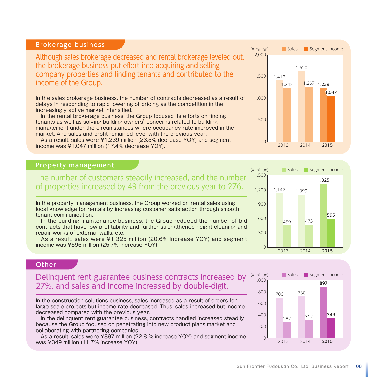| Although sales brokerage decreased and rental brokerage leveled out,<br>the brokerage business put effort into acquiring and selling<br>company properties and finding tenants and contributed to the<br>income of the Group.                                                                            | 2,000<br>1.500 | 1.412 | 1.242 | 1.620<br>,267 | 1.239 |       |
|----------------------------------------------------------------------------------------------------------------------------------------------------------------------------------------------------------------------------------------------------------------------------------------------------------|----------------|-------|-------|---------------|-------|-------|
| In the sales brokerage business, the number of contracts decreased as a result of<br>delays in responding to rapid lowering of pricing as the competition in the<br>increasingly active market intensified.                                                                                              | 1.000          |       |       |               |       | 1.047 |
| In the rental brokerage business, the Group focused its efforts on finding<br>tenants as well as solving building owners' concerns related to building<br>management under the circumstances where occupancy rate improved in the<br>market. And sales and profit remained level with the previous year. | 500            |       |       |               |       |       |
| As a result, sales were ¥1,239 million (23.5% decrease YOY) and segment<br>income was ¥1,047 million (17.4% decrease YOY).                                                                                                                                                                               |                |       | 2013  | 2014          |       | 2015  |

#### Property management

The number of customers steadily increased, and the number of properties increased by 49 from the previous year to 276.

In the property management business, the Group worked on rental sales using local knowledge for rentals by increasing customer satisfaction through smooth tenant communication.

 In the building maintenance business, the Group reduced the number of bid contracts that have low profitability and further strengthened height cleaning and repair works of external walls, etc.

 As a result, sales were ¥1,325 million (20.6% increase YOY) and segment income was ¥595 million (25.7% increase YOY).



0

 $(Y \text{ million})$ 

Sales Segment income

#### **Other**

#### Delinquent rent guarantee business contracts increased by 27%, and sales and income increased by double-digit.

In the construction solutions business, sales increased as a result of orders for large-scale projects but income rate decreased. Thus, sales increased but income decreased compared with the previous year.

 In the delinquent rent guarantee business, contracts handled increased steadily because the Group focused on penetrating into new product plans market and collaborating with partnering companies.

 As a result, sales were ¥897 million (22.8 % increase YOY) and segment income was ¥349 million (11.7% increase YOY).



2013 2014 2015

Brokerage business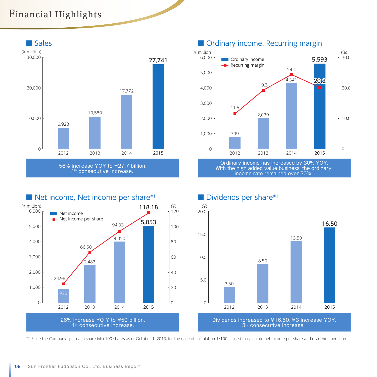# **Financial Highlights**



4<sup>th</sup> consecutive increase.



Ordinary income has increased by 30% YOY. With the high added value business, the ordinary income rate remained over 20%.





\*1 Since the Company split each share into 100 shares as of October 1, 2013, for the ease of calculation 1/100 is used to calculate net income per share and dividends per share.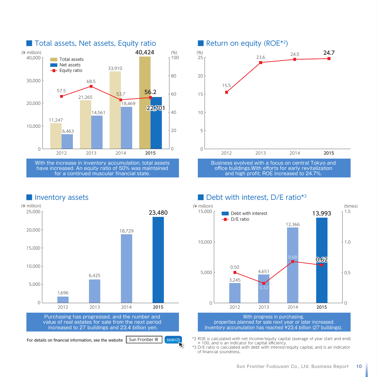

■ Total assets, Net assets, Equity ratio

With the increase in inventory accumulation, total assets have increased. An equity ratio of 50% was maintained for a continued muscular financial state.

# ■ Return on equity (ROE<sup>\*2</sup>) (%) 2012 2013 2014 2015 15. 23.6 24.5 **24.7**  $25$ 20 15 10 5  $\cap$

Business evolved with a focus on central Tokyo and office buildings.With efforts for early revitalization and high profit, ROE increased to 24.7%.

#### ■ Debt with interest, D/E ratio<sup>\*3</sup>



\*2 ROE is calculated with net income/equity capital (average of year start and end) × 100, and is an indicator for capital efficiency.

\*3 D/E ratio is calculated with debt with interest/equity capital, and is an indicator of financial soundness.

#### ■ Inventory assets